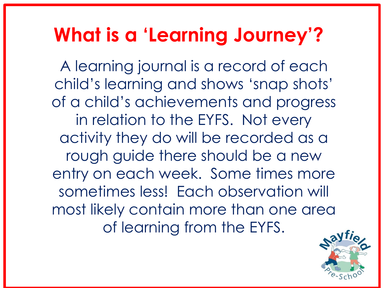#### **What is a 'Learning Journey'?**

A learning journal is a record of each child's learning and shows 'snap shots' of a child's achievements and progress in relation to the EYFS. Not every activity they do will be recorded as a rough guide there should be a new entry on each week. Some times more sometimes less! Each observation will most likely contain more than one area of learning from the EYFS.

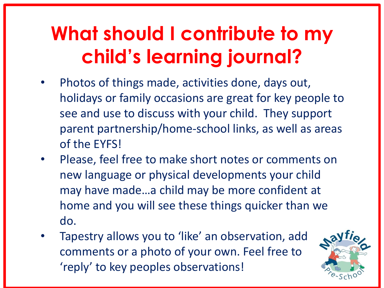#### **What should I contribute to my child's learning journal?**

- Photos of things made, activities done, days out, holidays or family occasions are great for key people to see and use to discuss with your child. They support parent partnership/home-school links, as well as areas of the EYFS!
- Please, feel free to make short notes or comments on new language or physical developments your child may have made…a child may be more confident at home and you will see these things quicker than we do.
- Tapestry allows you to 'like' an observation, add comments or a photo of your own. Feel free to 'reply' to key peoples observations!

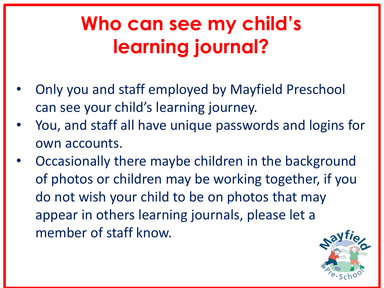## **Who can see my child's learning journal?**

- Only you and staff employed by Mayfield Preschool can see your child's learning journey.
- You, and staff all have unique passwords and logins for own accounts.
- Occasionally there maybe children in the background of photos or children may be working together, if you do not wish your child to be on photos that may appear in others learning journals, please let a member of staff know.

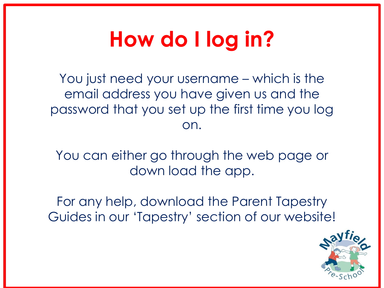# **How do I log in?**

You just need your username – which is the email address you have given us and the password that you set up the first time you log on.

You can either go through the web page or down load the app.

For any help, download the Parent Tapestry Guides in our 'Tapestry' section of our website!